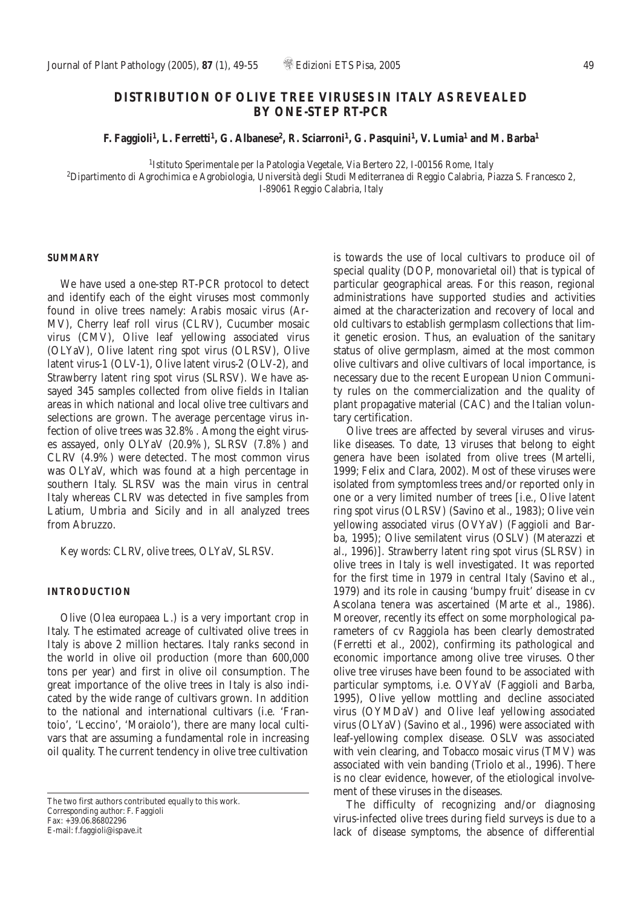# **DISTRIBUTION OF OLIVE TREE VIRUSES IN ITALY AS REVEALED BY ONE-STEP RT-PCR**

**F. Faggioli1, L. Ferretti1, G. Albanese2, R. Sciarroni1, G. Pasquini1, V. Lumia1 and M. Barba1**

*1Istituto Sperimentale per la Patologia Vegetale, Via Bertero 22, I-00156 Rome, Italy*

*2Dipartimento di Agrochimica e Agrobiologia, Università degli Studi Mediterranea di Reggio Calabria, Piazza S. Francesco 2, I-89061 Reggio Calabria, Italy*

## **SUMMARY**

We have used a one-step RT-PCR protocol to detect and identify each of the eight viruses most commonly found in olive trees namely: *Arabis mosaic virus* (Ar-MV), *Cherry leaf roll virus* (CLRV), *Cucumber mosaic virus* (CMV), *Olive leaf yellowing associated virus* (OLYaV), *Olive latent ring spot virus* (OLRSV), *Olive latent virus-1* (OLV-1), *Olive latent virus-2* (OLV-2), and *Strawberry latent ring spot virus* (SLRSV). We have assayed 345 samples collected from olive fields in Italian areas in which national and local olive tree cultivars and selections are grown. The average percentage virus infection of olive trees was 32.8%. Among the eight viruses assayed, only OLYaV (20.9%), SLRSV (7.8%) and CLRV (4.9%) were detected. The most common virus was OLYaV, which was found at a high percentage in southern Italy. SLRSV was the main virus in central Italy whereas CLRV was detected in five samples from Latium, Umbria and Sicily and in all analyzed trees from Abruzzo.

*Key words*: CLRV, olive trees, OLYaV, SLRSV.

### **INTRODUCTION**

Olive (*Olea europaea* L.) is a very important crop in Italy. The estimated acreage of cultivated olive trees in Italy is above 2 million hectares. Italy ranks second in the world in olive oil production (more than 600,000 tons per year) and first in olive oil consumption. The great importance of the olive trees in Italy is also indicated by the wide range of cultivars grown. In addition to the national and international cultivars (i.e. 'Frantoio', 'Leccino', 'Moraiolo'), there are many local cultivars that are assuming a fundamental role in increasing oil quality. The current tendency in olive tree cultivation

is towards the use of local cultivars to produce oil of special quality (DOP, monovarietal oil) that is typical of particular geographical areas. For this reason, regional administrations have supported studies and activities aimed at the characterization and recovery of local and old cultivars to establish germplasm collections that limit genetic erosion. Thus, an evaluation of the sanitary status of olive germplasm, aimed at the most common olive cultivars and olive cultivars of local importance, is necessary due to the recent European Union Community rules on the commercialization and the quality of plant propagative material (CAC) and the Italian voluntary certification.

Olive trees are affected by several viruses and viruslike diseases. To date, 13 viruses that belong to eight genera have been isolated from olive trees (Martelli, 1999; Felix and Clara, 2002). Most of these viruses were isolated from symptomless trees and/or reported only in one or a very limited number of trees [i.e., *Olive latent ring spot virus* (OLRSV) (Savino *et al*., 1983); *Olive vein yellowing associated virus* (OVYaV) (Faggioli and Barba, 1995); Olive semilatent virus (OSLV) (Materazzi *et al*., 1996)]. *Strawberry latent ring spot virus* (SLRSV) in olive trees in Italy is well investigated. It was reported for the first time in 1979 in central Italy (Savino *et al*., 1979) and its role in causing 'bumpy fruit' disease in cv Ascolana tenera was ascertained (Marte *et al*., 1986). Moreover, recently its effect on some morphological parameters of cv Raggiola has been clearly demostrated (Ferretti *et al*., 2002), confirming its pathological and economic importance among olive tree viruses. Other olive tree viruses have been found to be associated with particular symptoms, i.e. OVYaV (Faggioli and Barba, 1995), Olive yellow mottling and decline associated virus (OYMDaV) and *Olive leaf yellowing associated virus* (OLYaV) (Savino *et al.*, 1996) were associated with leaf-yellowing complex disease. OSLV was associated with vein clearing, and *Tobacco mosaic virus* (TMV) was associated with vein banding (Triolo *et al*., 1996). There is no clear evidence, however, of the etiological involvement of these viruses in the diseases.

The difficulty of recognizing and/or diagnosing virus-infected olive trees during field surveys is due to a lack of disease symptoms, the absence of differential

The two first authors contributed equally to this work. *Corresponding author*: F. Faggioli Fax: +39.06.86802296 E-mail: f.faggioli@ispave.it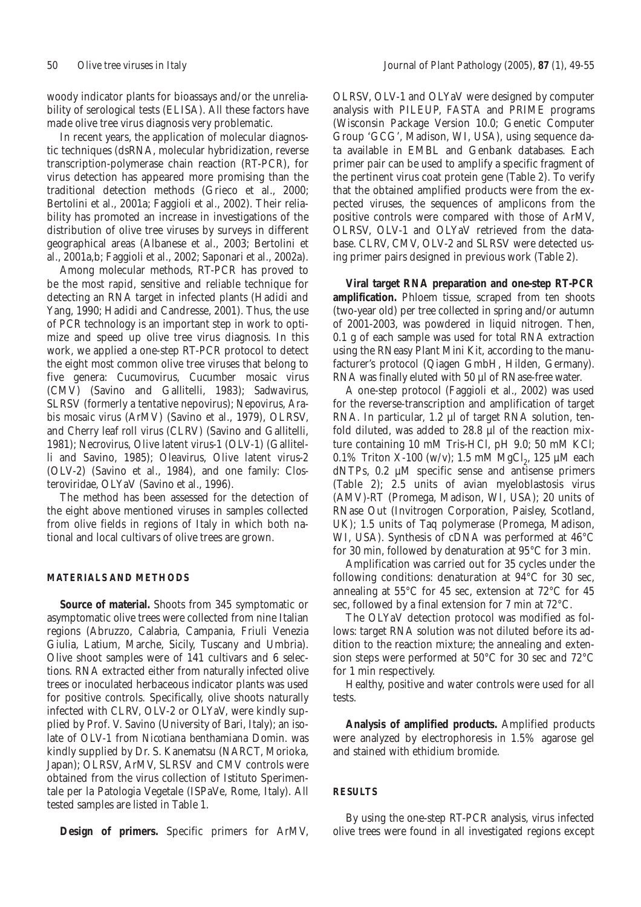woody indicator plants for bioassays and/or the unreliability of serological tests (ELISA). All these factors have made olive tree virus diagnosis very problematic.

In recent years, the application of molecular diagnostic techniques (dsRNA, molecular hybridization, reverse transcription-polymerase chain reaction (RT-PCR), for virus detection has appeared more promising than the traditional detection methods (Grieco *et al.*, 2000; Bertolini *et al*., 2001a; Faggioli *et al*., 2002). Their reliability has promoted an increase in investigations of the distribution of olive tree viruses by surveys in different geographical areas (Albanese *et al*., 2003; Bertolini *et al*., 2001a,b; Faggioli *et al*., 2002; Saponari *et al*., 2002a).

Among molecular methods, RT-PCR has proved to be the most rapid, sensitive and reliable technique for detecting an RNA target in infected plants (Hadidi and Yang, 1990; Hadidi and Candresse, 2001). Thus, the use of PCR technology is an important step in work to optimize and speed up olive tree virus diagnosis. In this work, we applied a one-step RT-PCR protocol to detect the eight most common olive tree viruses that belong to five genera: *Cucumovirus*, *Cucumber mosaic virus* (CMV) (Savino and Gallitelli, 1983); *Sadwavirus*, SLRSV (formerly a tentative nepovirus); *Nepovirus*, *Arabis mosaic virus* (ArMV) (Savino *et al*., 1979), OLRSV, and *Cherry leaf roll virus* (CLRV) (Savino and Gallitelli, 1981); *Necrovirus*, *Olive latent virus-1* (OLV-1) (Gallitelli and Savino, 1985); *Oleavirus*, *Olive latent virus-2* (OLV-2) (Savino *et al*., 1984), and one family: *Closteroviridae*, OLYaV (Savino *et al.*, 1996).

The method has been assessed for the detection of the eight above mentioned viruses in samples collected from olive fields in regions of Italy in which both national and local cultivars of olive trees are grown.

### **MATERIALS AND METHODS**

**Source of material.** Shoots from 345 symptomatic or asymptomatic olive trees were collected from nine Italian regions (Abruzzo, Calabria, Campania, Friuli Venezia Giulia, Latium, Marche, Sicily, Tuscany and Umbria). Olive shoot samples were of 141 cultivars and 6 selections. RNA extracted either from naturally infected olive trees or inoculated herbaceous indicator plants was used for positive controls. Specifically, olive shoots naturally infected with CLRV, OLV-2 or OLYaV, were kindly supplied by Prof. V. Savino (University of Bari, Italy); an isolate of OLV-1 from *Nicotiana benthamiana* Domin. was kindly supplied by Dr. S. Kanematsu (NARCT, Morioka, Japan); OLRSV, ArMV, SLRSV and CMV controls were obtained from the virus collection of Istituto Sperimentale per la Patologia Vegetale (ISPaVe, Rome, Italy). All tested samples are listed in Table 1.

**Design of primers.** Specific primers for ArMV,

OLRSV, OLV-1 and OLYaV were designed by computer analysis with PILEUP, FASTA and PRIME programs (Wisconsin Package Version 10.0; Genetic Computer Group 'GCG', Madison, WI, USA), using sequence data available in EMBL and Genbank databases. Each primer pair can be used to amplify a specific fragment of the pertinent virus coat protein gene (Table 2). To verify that the obtained amplified products were from the expected viruses, the sequences of amplicons from the positive controls were compared with those of ArMV, OLRSV, OLV-1 and OLYaV retrieved from the database. CLRV, CMV, OLV-2 and SLRSV were detected using primer pairs designed in previous work (Table 2).

**Viral target RNA preparation and one-step RT-PCR amplification.** Phloem tissue, scraped from ten shoots (two-year old) per tree collected in spring and/or autumn of 2001-2003, was powdered in liquid nitrogen. Then, 0.1 g of each sample was used for total RNA extraction using the RNeasy Plant Mini Kit, according to the manufacturer's protocol (Qiagen GmbH, Hilden, Germany). RNA was finally eluted with 50 µl of RNase-free water.

A one-step protocol (Faggioli *et al*., 2002) was used for the reverse-transcription and amplification of target RNA. In particular, 1.2 µl of target RNA solution, tenfold diluted, was added to 28.8 µl of the reaction mixture containing 10 mM Tris-HCl, pH 9.0; 50 mM KCl; 0.1% Triton X-100 (w/v); 1.5 mM MgCl<sub>2</sub>, 125 µM each dNTPs, 0.2 µM specific sense and antisense primers (Table 2); 2.5 units of avian myeloblastosis virus (AMV)-RT (Promega, Madison, WI, USA); 20 units of RNase Out (Invitrogen Corporation, Paisley, Scotland, UK); 1.5 units of Taq polymerase (Promega, Madison, WI, USA). Synthesis of cDNA was performed at 46°C for 30 min, followed by denaturation at 95°C for 3 min.

Amplification was carried out for 35 cycles under the following conditions: denaturation at 94°C for 30 sec, annealing at 55°C for 45 sec, extension at 72°C for 45 sec, followed by a final extension for 7 min at 72°C.

The OLYaV detection protocol was modified as follows: target RNA solution was not diluted before its addition to the reaction mixture; the annealing and extension steps were performed at 50°C for 30 sec and 72°C for 1 min respectively.

Healthy, positive and water controls were used for all tests.

**Analysis of amplified products.** Amplified products were analyzed by electrophoresis in 1.5% agarose gel and stained with ethidium bromide.

# **RESULTS**

By using the one-step RT-PCR analysis, virus infected olive trees were found in all investigated regions except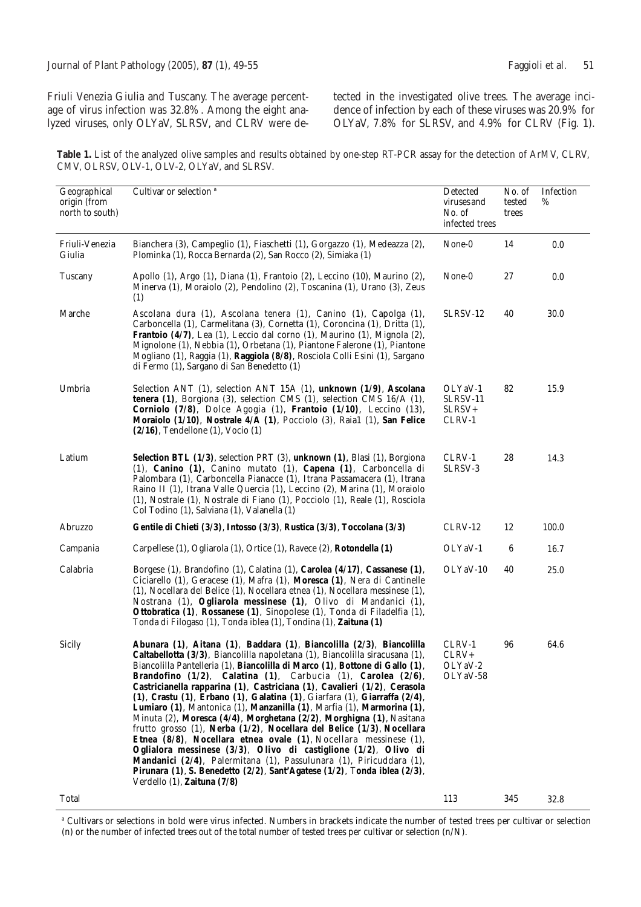Friuli Venezia Giulia and Tuscany. The average percentage of virus infection was 32.8%. Among the eight analyzed viruses, only OLYaV, SLRSV, and CLRV were detected in the investigated olive trees. The average incidence of infection by each of these viruses was 20.9% for OLYaV, 7.8% for SLRSV, and 4.9% for CLRV (Fig. 1).

**Table 1.** List of the analyzed olive samples and results obtained by one-step RT-PCR assay for the detection of ArMV, CLRV, CMV, OLRSV, OLV-1, OLV-2, OLYaV, and SLRSV.

| Geographical<br>origin (from<br>north to south) | Cultivar or selection <sup>a</sup>                                                                                                                                                                                                                                                                                                                                                                                                                                                                                                                                                                                                                                                                                                                                                                                                                                                                                                                                                                                                  | Detected<br>viruses and<br>No. of<br>infected trees | No. of<br>tested<br>trees | Infection<br>% |
|-------------------------------------------------|-------------------------------------------------------------------------------------------------------------------------------------------------------------------------------------------------------------------------------------------------------------------------------------------------------------------------------------------------------------------------------------------------------------------------------------------------------------------------------------------------------------------------------------------------------------------------------------------------------------------------------------------------------------------------------------------------------------------------------------------------------------------------------------------------------------------------------------------------------------------------------------------------------------------------------------------------------------------------------------------------------------------------------------|-----------------------------------------------------|---------------------------|----------------|
| Friuli-Venezia<br>Giulia                        | Bianchera (3), Campeglio (1), Fiaschetti (1), Gorgazzo (1), Medeazza (2),<br>Plominka (1), Rocca Bernarda (2), San Rocco (2), Simiaka (1)                                                                                                                                                                                                                                                                                                                                                                                                                                                                                                                                                                                                                                                                                                                                                                                                                                                                                           | None-0                                              | 14                        | 0.0            |
| Tuscany                                         | Apollo (1), Argo (1), Diana (1), Frantoio (2), Leccino (10), Maurino (2),<br>Minerva (1), Moraiolo (2), Pendolino (2), Toscanina (1), Urano (3), Zeus<br>(1)                                                                                                                                                                                                                                                                                                                                                                                                                                                                                                                                                                                                                                                                                                                                                                                                                                                                        | None-0                                              | 27                        | 0.0            |
| Marche                                          | Ascolana dura (1), Ascolana tenera (1), Canino (1), Capolga (1),<br>Carboncella (1), Carmelitana (3), Cornetta (1), Coroncina (1), Dritta (1),<br><b>Frantoio (4/7)</b> , Lea (1), Leccio dal corno (1), Maurino (1), Mignola (2),<br>Mignolone (1), Nebbia (1), Orbetana (1), Piantone Falerone (1), Piantone<br>Mogliano (1), Raggia (1), Raggiola (8/8), Rosciola Colli Esini (1), Sargano<br>di Fermo (1), Sargano di San Benedetto (1)                                                                                                                                                                                                                                                                                                                                                                                                                                                                                                                                                                                         | SLRSV-12                                            | 40                        | 30.0           |
| Umbria                                          | Selection ANT (1), selection ANT 15A (1), unknown (1/9), Ascolana<br>tenera (1), Borgiona (3), selection CMS (1), selection CMS 16/A (1),<br>Corniolo (7/8), Dolce Agogia (1), Frantoio (1/10), Leccino (13),<br>Moraiolo (1/10), Nostrale 4/A (1), Pocciolo (3), Raia1 (1), San Felice<br>$(2/16)$ , Tendellone $(1)$ , Vocio $(1)$                                                                                                                                                                                                                                                                                                                                                                                                                                                                                                                                                                                                                                                                                                | OLYaV-1<br>SLRSV-11<br>SLRSV+<br>CLRV-1             | 82                        | 15.9           |
| Latium                                          | Selection BTL (1/3), selection PRT (3), unknown (1), Blasi (1), Borgiona<br>(1), Canino (1), Canino mutato (1), Capena (1), Carboncella di<br>Palombara (1), Carboncella Pianacce (1), Itrana Passamacera (1), Itrana<br>Raino II (1), Itrana Valle Quercia (1), Leccino (2), Marina (1), Moraiolo<br>(1), Nostrale (1), Nostrale di Fiano (1), Pocciolo (1), Reale (1), Rosciola<br>Col Todino (1), Salviana (1), Valanella (1)                                                                                                                                                                                                                                                                                                                                                                                                                                                                                                                                                                                                    | CLRV-1<br>SLRSV-3                                   | 28                        | 14.3           |
| Abruzzo                                         | Gentile di Chieti (3/3), Intosso (3/3), Rustica (3/3), Toccolana (3/3)                                                                                                                                                                                                                                                                                                                                                                                                                                                                                                                                                                                                                                                                                                                                                                                                                                                                                                                                                              | CLRV-12                                             | 12                        | 100.0          |
| Campania                                        | Carpellese (1), Ogliarola (1), Ortice (1), Ravece (2), <b>Rotondella (1)</b>                                                                                                                                                                                                                                                                                                                                                                                                                                                                                                                                                                                                                                                                                                                                                                                                                                                                                                                                                        | OLYaV-1                                             | 6                         | 16.7           |
| Calabria                                        | Borgese (1), Brandofino (1), Calatina (1), Carolea (4/17), Cassanese (1),<br>Ciciarello (1), Geracese (1), Mafra (1), Moresca (1), Nera di Cantinelle<br>(1), Nocellara del Belice (1), Nocellara etnea (1), Nocellara messinese (1),<br>Nostrana (1), Ogliarola messinese (1), Olivo di Mandanici (1),<br>Ottobratica (1), Rossanese (1), Sinopolese (1), Tonda di Filadelfia (1),<br>Tonda di Filogaso (1), Tonda iblea (1), Tondina (1), Zaituna (1)                                                                                                                                                                                                                                                                                                                                                                                                                                                                                                                                                                             | OLYaV-10                                            | 40                        | 25.0           |
| Sicily                                          | Abunara (1), Aitana (1), Baddara (1), Biancolilla (2/3), Biancolilla<br>Caltabellotta (3/3), Biancolilla napoletana (1), Biancolilla siracusana (1),<br>Biancolilla Pantelleria (1), Biancolilla di Marco (1), Bottone di Gallo (1),<br>Brandofino (1/2), Calatina (1), Carbucia (1), Carolea (2/6),<br>Castricianella rapparina (1), Castriciana (1), Cavalieri (1/2), Cerasola<br>$(1)$ , Crastu $(1)$ , Erbano $(1)$ , Galatina $(1)$ , Giarfara $(1)$ , Giarraffa $(2/4)$ ,<br>Lumiaro (1), Mantonica (1), Manzanilla (1), Marfia (1), Marmorina (1),<br>Minuta (2), Moresca (4/4), Morghetana (2/2), Morghigna (1), Nasitana<br>frutto grosso (1), Nerba (1/2), Nocellara del Belice (1/3), Nocellara<br>Etnea (8/8), Nocellara etnea ovale (1), Nocellara messinese (1),<br>Oglialora messinese (3/3), Olivo di castiglione (1/2), Olivo di<br>Mandanici (2/4), Palermitana (1), Passulunara (1), Piricuddara (1),<br>Pirunara (1), S. Benedetto (2/2), Sant'Agatese (1/2), Tonda iblea (2/3),<br>Verdello (1), Zaituna (7/8) | CLRV-1<br>$CLRV+$<br>OLYaV-2<br>OLYaV-58            | 96                        | 64.6           |
| Total                                           |                                                                                                                                                                                                                                                                                                                                                                                                                                                                                                                                                                                                                                                                                                                                                                                                                                                                                                                                                                                                                                     | 113                                                 | 345                       | 32.8           |

<sup>a</sup> Cultivars or selections in bold were virus infected. Numbers in brackets indicate the number of tested trees per cultivar or selection (n) or the number of infected trees out of the total number of tested trees per cultivar or selection (n/N).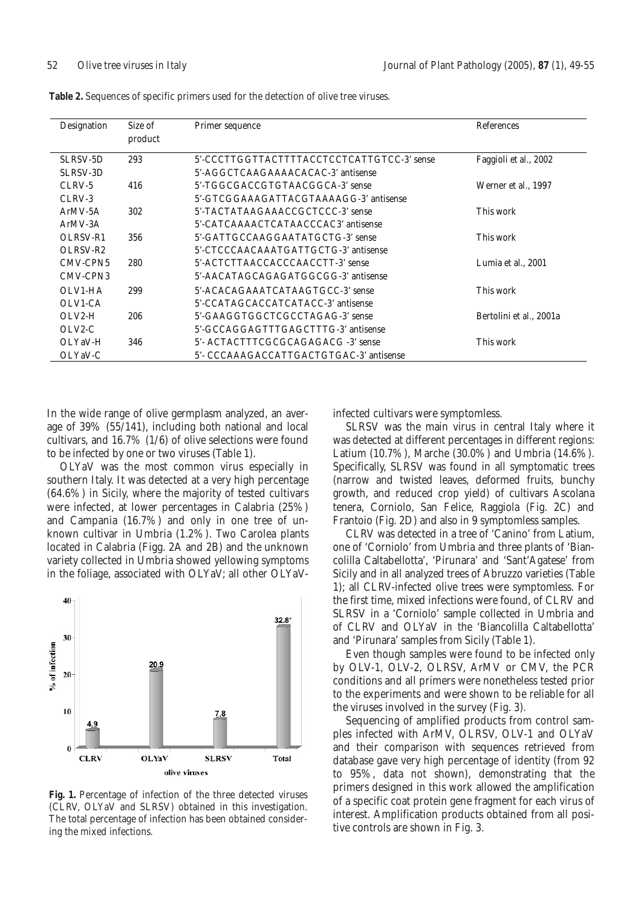| Designation          | Size of<br>product | Primer sequence                            | References                  |
|----------------------|--------------------|--------------------------------------------|-----------------------------|
| SLRSV-5D             | 293                | 5'-CCCTTGGTTACTTTTACCTCCTCATTGTCC-3' sense | Faggioli et al., 2002       |
| SLRSV-3D             |                    | 5'-AGGCTCAAGAAAACACAC-3' antisense         |                             |
| $CLRV-5$             | 416                | 5'-TGGCGACCGTGTAACGGCA-3' sense            | Werner <i>et al.</i> , 1997 |
| CLRV-3               |                    | 5'-GTCGGAAAGATTACGTAAAAGG-3' antisense     |                             |
| $ArMV-5A$            | 302                | 5'-TACTATAAGAAACCGCTCCC-3' sense           | This work                   |
| $ArMV-3A$            |                    | 5'-CATCAAAACTCATAACCCAC3' antisense        |                             |
| OLRSV-R1             | 356                | 5'-GATTGCCAAGGAATATGCTG-3' sense           | This work                   |
| OLRSV-R <sub>2</sub> |                    | 5'-CTCCCAACAAATGATTGCTG-3' antisense       |                             |
| CMV-CPN5             | 280                | 5'-ACTCTTAACCACCCAACCTT-3' sense           | Lumia et al., 2001          |
| CMV-CPN3             |                    | 5'-AACATAGCAGAGATGGCGG-3' antisense        |                             |
| OLV1-HA              | 299                | 5'-ACACAGAAATCATAAGTGCC-3' sense           | This work                   |
| OLV1-CA              |                    | 5'-CCATAGCACCATCATACC-3' antisense         |                             |
| $OLV2-H$             | 206                | 5'-GAAGGTGGCTCGCCTAGAG-3' sense            | Bertolini et al., 2001a     |
| OLV2-C               |                    | 5'-GCCAGGAGTTTGAGCTTTG-3' antisense        |                             |
| OLYaV-H              | 346                | 5'- ACTACTTTCGCGCAGAGACG -3' sense         | This work                   |
| OLYaV-C              |                    | 5'- CCCAAAGACCATTGACTGTGAC-3' antisense    |                             |

**Table 2.** Sequences of specific primers used for the detection of olive tree viruses.

In the wide range of olive germplasm analyzed, an average of 39% (55/141), including both national and local cultivars, and 16.7% (1/6) of olive selections were found to be infected by one or two viruses (Table 1).

OLYaV was the most common virus especially in southern Italy. It was detected at a very high percentage (64.6%) in Sicily, where the majority of tested cultivars were infected, at lower percentages in Calabria (25%) and Campania (16.7%) and only in one tree of unknown cultivar in Umbria (1.2%). Two Carolea plants located in Calabria (Figg. 2A and 2B) and the unknown variety collected in Umbria showed yellowing symptoms in the foliage, associated with OLYaV; all other OLYaV-



**Fig. 1.** Percentage of infection of the three detected viruses (CLRV, OLYaV and SLRSV) obtained in this investigation. The total percentage of infection has been obtained considering the mixed infections.

infected cultivars were symptomless.

SLRSV was the main virus in central Italy where it was detected at different percentages in different regions: Latium (10.7%), Marche (30.0%) and Umbria (14.6%). Specifically, SLRSV was found in all symptomatic trees (narrow and twisted leaves, deformed fruits, bunchy growth, and reduced crop yield) of cultivars Ascolana tenera, Corniolo, San Felice, Raggiola (Fig. 2C) and Frantoio (Fig. 2D) and also in 9 symptomless samples.

CLRV was detected in a tree of 'Canino' from Latium, one of 'Corniolo' from Umbria and three plants of 'Biancolilla Caltabellotta', 'Pirunara' and 'Sant'Agatese' from Sicily and in all analyzed trees of Abruzzo varieties (Table 1); all CLRV-infected olive trees were symptomless. For the first time, mixed infections were found, of CLRV and SLRSV in a 'Corniolo' sample collected in Umbria and of CLRV and OLYaV in the 'Biancolilla Caltabellotta' and 'Pirunara' samples from Sicily (Table 1).

Even though samples were found to be infected only by OLV-1, OLV-2, OLRSV, ArMV or CMV, the PCR conditions and all primers were nonetheless tested prior to the experiments and were shown to be reliable for all the viruses involved in the survey (Fig. 3).

Sequencing of amplified products from control samples infected with ArMV, OLRSV, OLV-1 and OLYaV and their comparison with sequences retrieved from database gave very high percentage of identity (from 92 to 95%, data not shown), demonstrating that the primers designed in this work allowed the amplification of a specific coat protein gene fragment for each virus of interest. Amplification products obtained from all positive controls are shown in Fig. 3.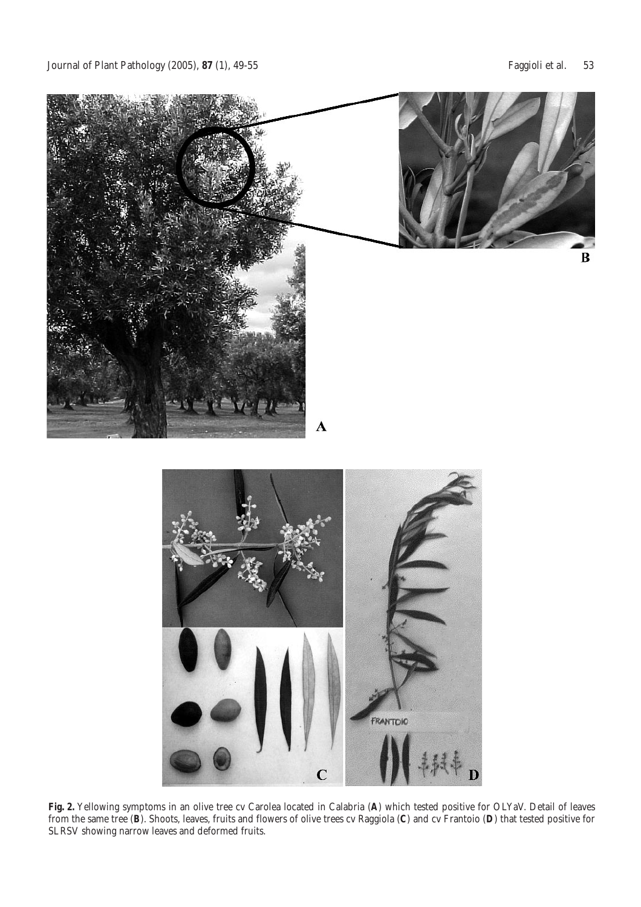

**Fig. 2.** Yellowing symptoms in an olive tree cv Carolea located in Calabria (**A**) which tested positive for OLYaV. Detail of leaves from the same tree (**B**). Shoots, leaves, fruits and flowers of olive trees cv Raggiola (**C**) and cv Frantoio (**D**) that tested positive for SLRSV showing narrow leaves and deformed fruits.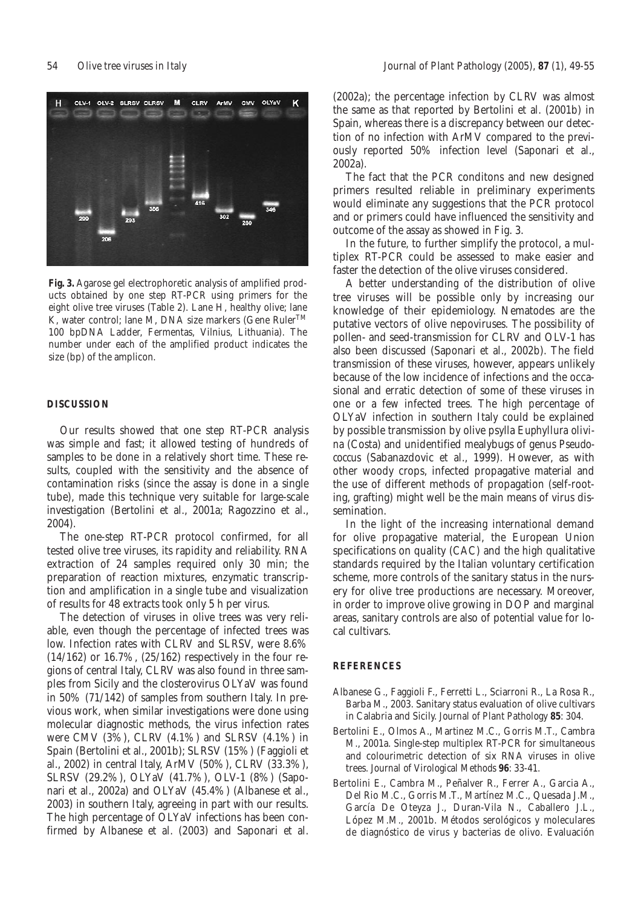

**Fig. 3.** Agarose gel electrophoretic analysis of amplified products obtained by one step RT-PCR using primers for the eight olive tree viruses (Table 2). Lane H, healthy olive; lane K, water control; lane M, DNA size markers (Gene Ruler<sup>TM</sup> 100 bpDNA Ladder, Fermentas, Vilnius, Lithuania). The number under each of the amplified product indicates the size (bp) of the amplicon.

### **DISCUSSION**

Our results showed that one step RT-PCR analysis was simple and fast; it allowed testing of hundreds of samples to be done in a relatively short time. These results, coupled with the sensitivity and the absence of contamination risks (since the assay is done in a single tube), made this technique very suitable for large-scale investigation (Bertolini *et al.*, 2001a; Ragozzino *et al*., 2004).

The one-step RT-PCR protocol confirmed, for all tested olive tree viruses, its rapidity and reliability. RNA extraction of 24 samples required only 30 min; the preparation of reaction mixtures, enzymatic transcription and amplification in a single tube and visualization of results for 48 extracts took only 5 h per virus.

The detection of viruses in olive trees was very reliable, even though the percentage of infected trees was low. Infection rates with CLRV and SLRSV, were 8.6% (14/162) or 16.7%, (25/162) respectively in the four regions of central Italy, CLRV was also found in three samples from Sicily and the closterovirus OLYaV was found in 50% (71/142) of samples from southern Italy. In previous work, when similar investigations were done using molecular diagnostic methods, the virus infection rates were CMV (3%), CLRV (4.1%) and SLRSV (4.1%) in Spain (Bertolini *et al*., 2001b); SLRSV (15%) (Faggioli *et al.*, 2002) in central Italy, ArMV (50%), CLRV (33.3%), SLRSV (29.2%), OLYaV (41.7%), OLV-1 (8%) (Saponari *et al*., 2002a) and OLYaV (45.4%) (Albanese *et al*., 2003) in southern Italy, agreeing in part with our results. The high percentage of OLYaV infections has been confirmed by Albanese *et al.* (2003) and Saponari *et al.*

(2002a); the percentage infection by CLRV was almost the same as that reported by Bertolini *et al.* (2001b) in Spain, whereas there is a discrepancy between our detection of no infection with ArMV compared to the previously reported 50% infection level (Saponari *et al.*, 2002a).

The fact that the PCR conditons and new designed primers resulted reliable in preliminary experiments would eliminate any suggestions that the PCR protocol and or primers could have influenced the sensitivity and outcome of the assay as showed in Fig. 3.

In the future, to further simplify the protocol, a multiplex RT-PCR could be assessed to make easier and faster the detection of the olive viruses considered.

A better understanding of the distribution of olive tree viruses will be possible only by increasing our knowledge of their epidemiology. Nematodes are the putative vectors of olive nepoviruses*.* The possibility of pollen- and seed-transmission for CLRV and OLV-1 has also been discussed (Saponari *et al*., 2002b). The field transmission of these viruses, however, appears unlikely because of the low incidence of infections and the occasional and erratic detection of some of these viruses in one or a few infected trees. The high percentage of OLYaV infection in southern Italy could be explained by possible transmission by olive psylla *Euphyllura olivina* (Costa) and unidentified mealybugs of genus *Pseudococcus* (Sabanazdovic *et al*., 1999). However, as with other woody crops, infected propagative material and the use of different methods of propagation (self-rooting, grafting) might well be the main means of virus dissemination.

In the light of the increasing international demand for olive propagative material, the European Union specifications on quality (CAC) and the high qualitative standards required by the Italian voluntary certification scheme, more controls of the sanitary status in the nursery for olive tree productions are necessary. Moreover, in order to improve olive growing in DOP and marginal areas, sanitary controls are also of potential value for local cultivars.

## **REFERENCES**

- Albanese G., Faggioli F., Ferretti L., Sciarroni R., La Rosa R., Barba M., 2003. Sanitary status evaluation of olive cultivars in Calabria and Sicily. *Journal of Plant Pathology* **85**: 304.
- Bertolini E., Olmos A., Martinez M.C., Gorris M.T., Cambra M., 2001a. Single-step multiplex RT-PCR for simultaneous and colourimetric detection of six RNA viruses in olive trees. *Journal of Virological Methods* **96**: 33-41.
- Bertolini E., Cambra M., Peñalver R., Ferrer A., Garcia A., Del Rio M.C., Gorris M.T., Martínez M.C., Quesada J.M., García De Oteyza J., Duran-Vila N., Caballero J.L., López M.M., 2001b. Métodos serológicos y moleculares de diagnóstico de virus y bacterias de olivo. Evaluación